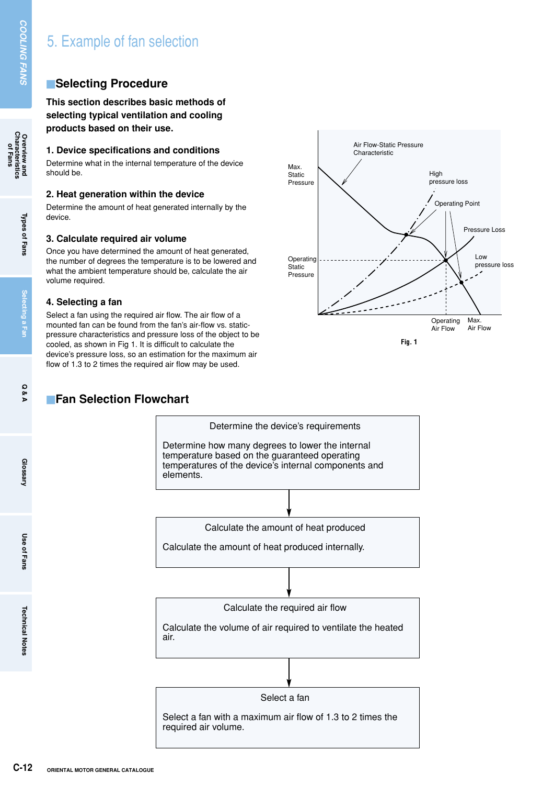## **E**Selecting Procedure

**This section describes basic methods of selecting typical ventilation and cooling products based on their use.**

### **1. Device specifications and conditions**

Determine what in the internal temperature of the device should be.

### **2. Heat generation within the device**

Determine the amount of heat generated internally by the device.

#### **3. Calculate required air volume**

Once you have determined the amount of heat generated, the number of degrees the temperature is to be lowered and what the ambient temperature should be, calculate the air volume required.

### **4. Selecting a fan**

Select a fan using the required air flow. The air flow of a mounted fan can be found from the fan's air-flow vs. staticpressure characteristics and pressure loss of the object to be cooled, as shown in Fig 1. It is difficult to calculate the device's pressure loss, so an estimation for the maximum air flow of 1.3 to 2 times the required air flow may be used.

# **Fan Selection Flowchart**



Determine the device's requirements Determine how many degrees to lower the internal temperature based on the guaranteed operating temperatures of the device's internal components and elements.

Calculate the amount of heat produced

Calculate the amount of heat produced internally.

Calculate the required air flow

Calculate the volume of air required to ventilate the heated air.

Select a fan

Select a fan with a maximum air flow of 1.3 to 2 times the required air volume.